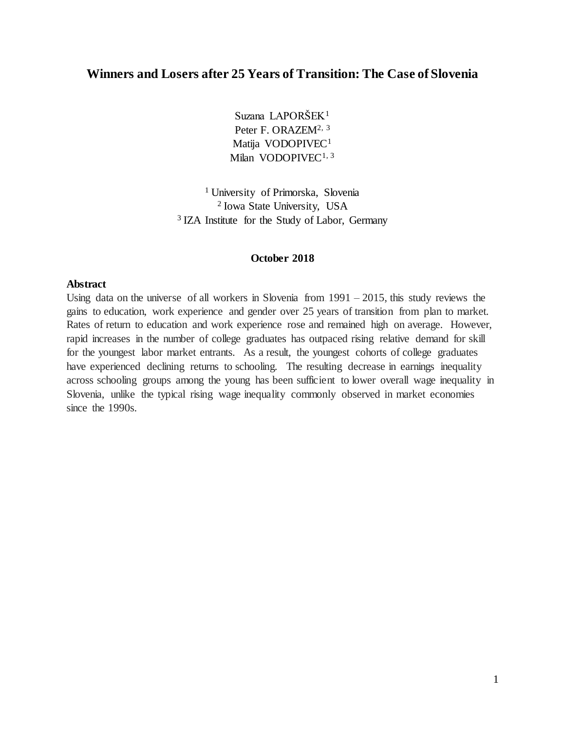## **Winners and Losers after 25 Years of Transition: The Case of Slovenia**

Suzana LAPORŠEK<sup>1</sup> Peter F. ORAZEM<sup>2, 3</sup> Matija VODOPIVEC<sup>1</sup> Milan VODOPIVEC<sup>1, 3</sup>

<sup>1</sup> University of Primorska, Slovenia 2 Iowa State University, USA <sup>3</sup> IZA Institute for the Study of Labor, Germany

#### **October 2018**

#### **Abstract**

Using data on the universe of all workers in Slovenia from  $1991 - 2015$ , this study reviews the gains to education, work experience and gender over 25 years of transition from plan to market. Rates of return to education and work experience rose and remained high on average. However, rapid increases in the number of college graduates has outpaced rising relative demand for skill for the youngest labor market entrants. As a result, the youngest cohorts of college graduates have experienced declining returns to schooling. The resulting decrease in earnings inequality across schooling groups among the young has been sufficient to lower overall wage inequality in Slovenia, unlike the typical rising wage inequality commonly observed in market economies since the 1990s.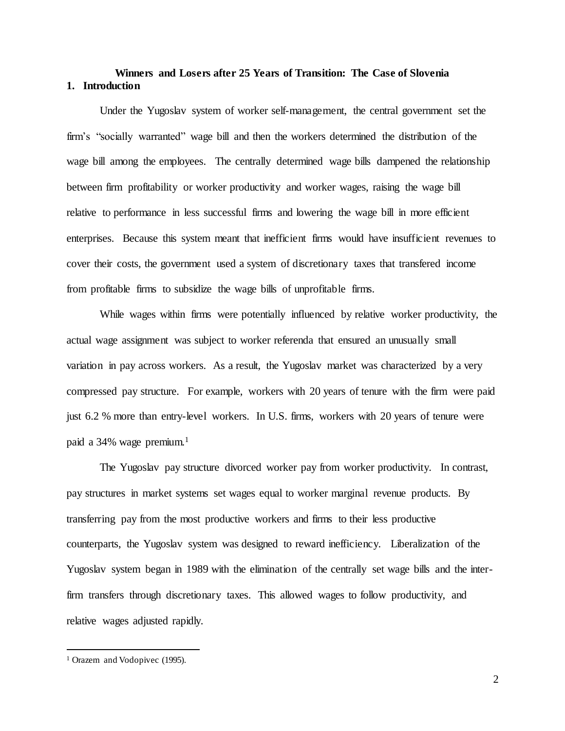## **Winners and Losers after 25 Years of Transition: The Case of Slovenia 1. Introduction**

Under the Yugoslav system of worker self-management, the central government set the firm's "socially warranted" wage bill and then the workers determined the distribution of the wage bill among the employees. The centrally determined wage bills dampened the relationship between firm profitability or worker productivity and worker wages, raising the wage bill relative to performance in less successful firms and lowering the wage bill in more efficient enterprises. Because this system meant that inefficient firms would have insufficient revenues to cover their costs, the government used a system of discretionary taxes that transfered income from profitable firms to subsidize the wage bills of unprofitable firms.

While wages within firms were potentially influenced by relative worker productivity, the actual wage assignment was subject to worker referenda that ensured an unusually small variation in pay across workers. As a result, the Yugoslav market was characterized by a very compressed pay structure. For example, workers with 20 years of tenure with the firm were paid just 6.2 % more than entry-level workers. In U.S. firms, workers with 20 years of tenure were paid a 34% wage premium.<sup>1</sup>

The Yugoslav pay structure divorced worker pay from worker productivity. In contrast, pay structures in market systems set wages equal to worker marginal revenue products. By transferring pay from the most productive workers and firms to their less productive counterparts, the Yugoslav system was designed to reward inefficiency. Liberalization of the Yugoslav system began in 1989 with the elimination of the centrally set wage bills and the interfirm transfers through discretionary taxes. This allowed wages to follow productivity, and relative wages adjusted rapidly.

 $\overline{a}$ 

<sup>&</sup>lt;sup>1</sup> Orazem and Vodopivec (1995).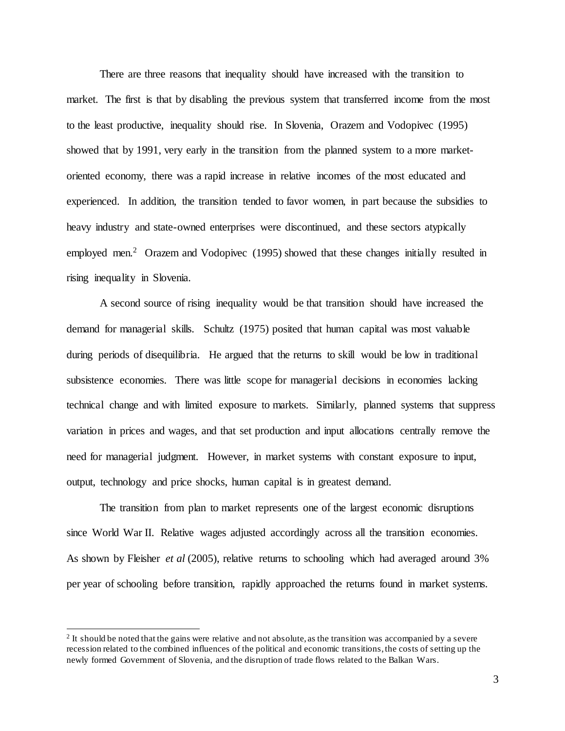There are three reasons that inequality should have increased with the transition to market. The first is that by disabling the previous system that transferred income from the most to the least productive, inequality should rise. In Slovenia, Orazem and Vodopivec (1995) showed that by 1991, very early in the transition from the planned system to a more marketoriented economy, there was a rapid increase in relative incomes of the most educated and experienced. In addition, the transition tended to favor women, in part because the subsidies to heavy industry and state-owned enterprises were discontinued, and these sectors atypically employed men.<sup>2</sup> Orazem and Vodopivec (1995) showed that these changes initially resulted in rising inequality in Slovenia.

A second source of rising inequality would be that transition should have increased the demand for managerial skills. Schultz (1975) posited that human capital was most valuable during periods of disequilibria. He argued that the returns to skill would be low in traditional subsistence economies. There was little scope for managerial decisions in economies lacking technical change and with limited exposure to markets. Similarly, planned systems that suppress variation in prices and wages, and that set production and input allocations centrally remove the need for managerial judgment. However, in market systems with constant exposure to input, output, technology and price shocks, human capital is in greatest demand.

The transition from plan to market represents one of the largest economic disruptions since World War II. Relative wages adjusted accordingly across all the transition economies. As shown by Fleisher *et al* (2005), relative returns to schooling which had averaged around 3% per year of schooling before transition, rapidly approached the returns found in market systems.

l

<sup>&</sup>lt;sup>2</sup> It should be noted that the gains were relative and not absolute, as the transition was accompanied by a severe recession related to the combined influences of the political and economic transitions, the costs of setting up the newly formed Government of Slovenia, and the disruption of trade flows related to the Balkan Wars.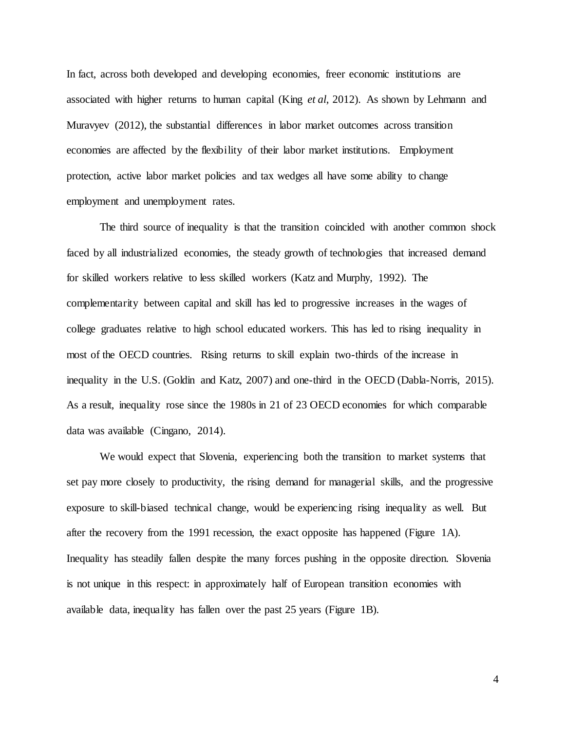In fact, across both developed and developing economies, freer economic institutions are associated with higher returns to human capital (King *et al*, 2012). As shown by Lehmann and Muravyev (2012), the substantial differences in labor market outcomes across transition economies are affected by the flexibility of their labor market institutions. Employment protection, active labor market policies and tax wedges all have some ability to change employment and unemployment rates.

The third source of inequality is that the transition coincided with another common shock faced by all industrialized economies, the steady growth of technologies that increased demand for skilled workers relative to less skilled workers (Katz and Murphy, 1992). The complementarity between capital and skill has led to progressive increases in the wages of college graduates relative to high school educated workers. This has led to rising inequality in most of the OECD countries. Rising returns to skill explain two-thirds of the increase in inequality in the U.S. (Goldin and Katz, 2007) and one-third in the OECD (Dabla-Norris, 2015). As a result, inequality rose since the 1980s in 21 of 23 OECD economies for which comparable data was available (Cingano, 2014).

We would expect that Slovenia, experiencing both the transition to market systems that set pay more closely to productivity, the rising demand for managerial skills, and the progressive exposure to skill-biased technical change, would be experiencing rising inequality as well. But after the recovery from the 1991 recession, the exact opposite has happened (Figure 1A). Inequality has steadily fallen despite the many forces pushing in the opposite direction. Slovenia is not unique in this respect: in approximately half of European transition economies with available data, inequality has fallen over the past 25 years (Figure 1B).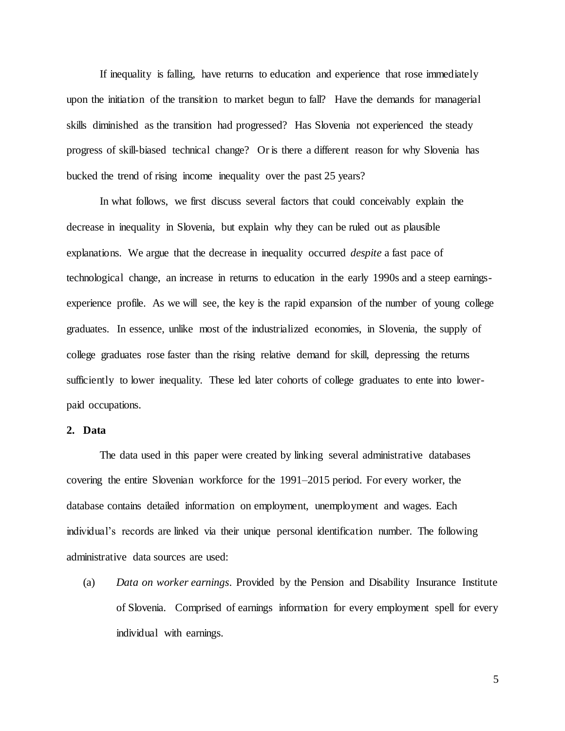If inequality is falling, have returns to education and experience that rose immediately upon the initiation of the transition to market begun to fall? Have the demands for managerial skills diminished as the transition had progressed? Has Slovenia not experienced the steady progress of skill-biased technical change? Or is there a different reason for why Slovenia has bucked the trend of rising income inequality over the past 25 years?

In what follows, we first discuss several factors that could conceivably explain the decrease in inequality in Slovenia, but explain why they can be ruled out as plausible explanations. We argue that the decrease in inequality occurred *despite* a fast pace of technological change, an increase in returns to education in the early 1990s and a steep earningsexperience profile. As we will see, the key is the rapid expansion of the number of young college graduates. In essence, unlike most of the industrialized economies, in Slovenia, the supply of college graduates rose faster than the rising relative demand for skill, depressing the returns sufficiently to lower inequality. These led later cohorts of college graduates to ente into lowerpaid occupations.

#### **2. Data**

The data used in this paper were created by linking several administrative databases covering the entire Slovenian workforce for the 1991–2015 period. For every worker, the database contains detailed information on employment, unemployment and wages. Each individual's records are linked via their unique personal identification number. The following administrative data sources are used:

(a) *Data on worker earnings*. Provided by the Pension and Disability Insurance Institute of Slovenia. Comprised of earnings information for every employment spell for every individual with earnings.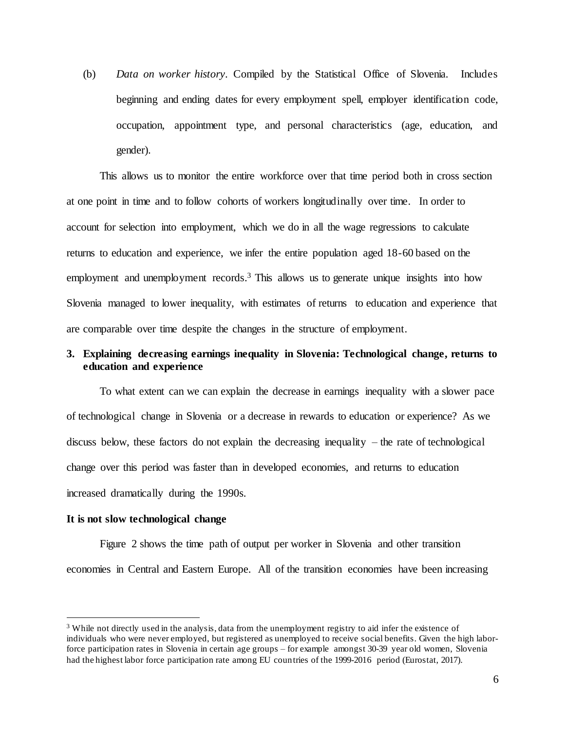(b) *Data on worker history*. Compiled by the Statistical Office of Slovenia. Includes beginning and ending dates for every employment spell, employer identification code, occupation, appointment type, and personal characteristics (age, education, and gender).

This allows us to monitor the entire workforce over that time period both in cross section at one point in time and to follow cohorts of workers longitudinally over time. In order to account for selection into employment, which we do in all the wage regressions to calculate returns to education and experience, we infer the entire population aged 18-60 based on the employment and unemployment records.<sup>3</sup> This allows us to generate unique insights into how Slovenia managed to lower inequality, with estimates of returns to education and experience that are comparable over time despite the changes in the structure of employment.

## **3. Explaining decreasing earnings inequality in Slovenia: Technological change, returns to education and experience**

To what extent can we can explain the decrease in earnings inequality with a slower pace of technological change in Slovenia or a decrease in rewards to education or experience? As we discuss below, these factors do not explain the decreasing inequality – the rate of technological change over this period was faster than in developed economies, and returns to education increased dramatically during the 1990s.

#### **It is not slow technological change**

l

Figure 2 shows the time path of output per worker in Slovenia and other transition economies in Central and Eastern Europe. All of the transition economies have been increasing

<sup>&</sup>lt;sup>3</sup> While not directly used in the analysis, data from the unemployment registry to aid infer the existence of individuals who were never employed, but registered as unemployed to receive social benefits. Given the high laborforce participation rates in Slovenia in certain age groups – for example amongst 30-39 year old women, Slovenia had the highest labor force participation rate among EU countries of the 1999-2016 period (Eurostat, 2017).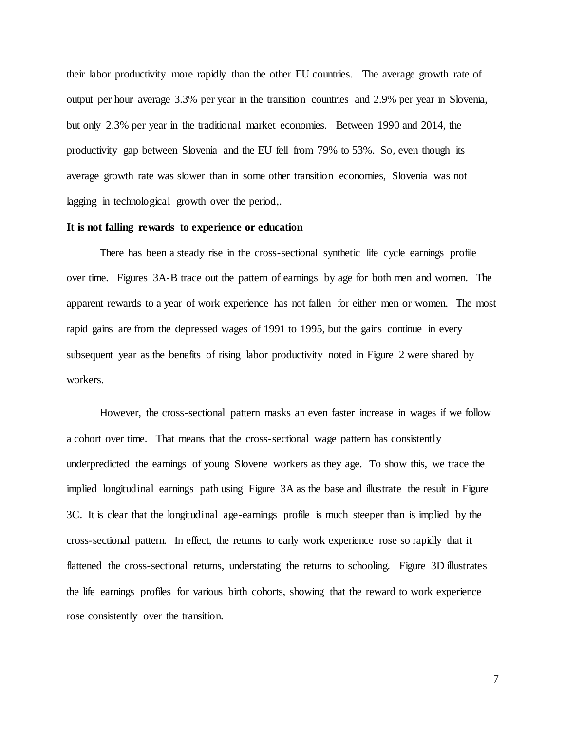their labor productivity more rapidly than the other EU countries. The average growth rate of output per hour average 3.3% per year in the transition countries and 2.9% per year in Slovenia, but only 2.3% per year in the traditional market economies. Between 1990 and 2014, the productivity gap between Slovenia and the EU fell from 79% to 53%. So, even though its average growth rate was slower than in some other transition economies, Slovenia was not lagging in technological growth over the period,.

#### **It is not falling rewards to experience or education**

There has been a steady rise in the cross-sectional synthetic life cycle earnings profile over time. Figures 3A-B trace out the pattern of earnings by age for both men and women. The apparent rewards to a year of work experience has not fallen for either men or women. The most rapid gains are from the depressed wages of 1991 to 1995, but the gains continue in every subsequent year as the benefits of rising labor productivity noted in Figure 2 were shared by workers.

However, the cross-sectional pattern masks an even faster increase in wages if we follow a cohort over time. That means that the cross-sectional wage pattern has consistently underpredicted the earnings of young Slovene workers as they age. To show this, we trace the implied longitudinal earnings path using Figure 3A as the base and illustrate the result in Figure 3C. It is clear that the longitudinal age-earnings profile is much steeper than is implied by the cross-sectional pattern. In effect, the returns to early work experience rose so rapidly that it flattened the cross-sectional returns, understating the returns to schooling. Figure 3D illustrates the life earnings profiles for various birth cohorts, showing that the reward to work experience rose consistently over the transition.

7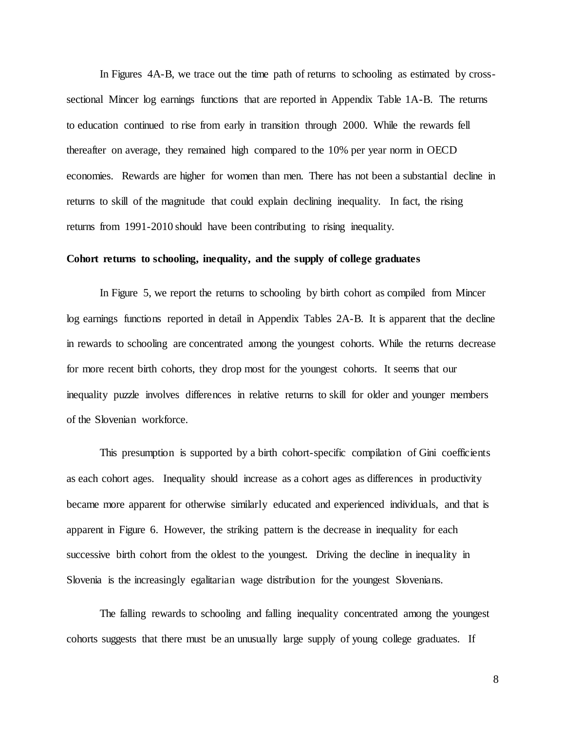In Figures 4A-B, we trace out the time path of returns to schooling as estimated by crosssectional Mincer log earnings functions that are reported in Appendix Table 1A-B. The returns to education continued to rise from early in transition through 2000. While the rewards fell thereafter on average, they remained high compared to the 10% per year norm in OECD economies. Rewards are higher for women than men. There has not been a substantial decline in returns to skill of the magnitude that could explain declining inequality. In fact, the rising returns from 1991-2010 should have been contributing to rising inequality.

#### **Cohort returns to schooling, inequality, and the supply of college graduates**

In Figure 5, we report the returns to schooling by birth cohort as compiled from Mincer log earnings functions reported in detail in Appendix Tables 2A-B. It is apparent that the decline in rewards to schooling are concentrated among the youngest cohorts. While the returns decrease for more recent birth cohorts, they drop most for the youngest cohorts. It seems that our inequality puzzle involves differences in relative returns to skill for older and younger members of the Slovenian workforce.

This presumption is supported by a birth cohort-specific compilation of Gini coefficients as each cohort ages. Inequality should increase as a cohort ages as differences in productivity became more apparent for otherwise similarly educated and experienced individuals, and that is apparent in Figure 6. However, the striking pattern is the decrease in inequality for each successive birth cohort from the oldest to the youngest. Driving the decline in inequality in Slovenia is the increasingly egalitarian wage distribution for the youngest Slovenians.

The falling rewards to schooling and falling inequality concentrated among the youngest cohorts suggests that there must be an unusually large supply of young college graduates. If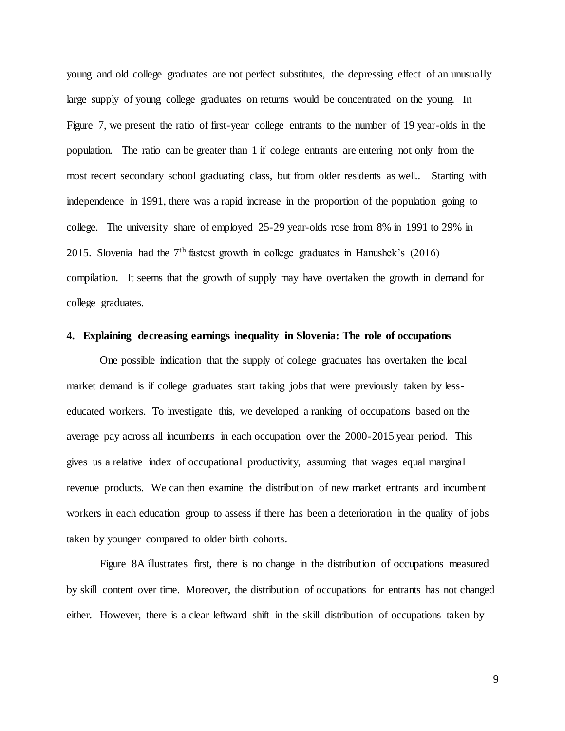young and old college graduates are not perfect substitutes, the depressing effect of an unusually large supply of young college graduates on returns would be concentrated on the young. In Figure 7, we present the ratio of first-year college entrants to the number of 19 year-olds in the population. The ratio can be greater than 1 if college entrants are entering not only from the most recent secondary school graduating class, but from older residents as well.. Starting with independence in 1991, there was a rapid increase in the proportion of the population going to college. The university share of employed 25-29 year-olds rose from 8% in 1991 to 29% in 2015. Slovenia had the  $7<sup>th</sup>$  fastest growth in college graduates in Hanushek's (2016) compilation. It seems that the growth of supply may have overtaken the growth in demand for college graduates.

### **4. Explaining decreasing earnings inequality in Slovenia: The role of occupations**

One possible indication that the supply of college graduates has overtaken the local market demand is if college graduates start taking jobs that were previously taken by lesseducated workers. To investigate this, we developed a ranking of occupations based on the average pay across all incumbents in each occupation over the 2000-2015 year period. This gives us a relative index of occupational productivity, assuming that wages equal marginal revenue products. We can then examine the distribution of new market entrants and incumbent workers in each education group to assess if there has been a deterioration in the quality of jobs taken by younger compared to older birth cohorts.

Figure 8A illustrates first, there is no change in the distribution of occupations measured by skill content over time. Moreover, the distribution of occupations for entrants has not changed either. However, there is a clear leftward shift in the skill distribution of occupations taken by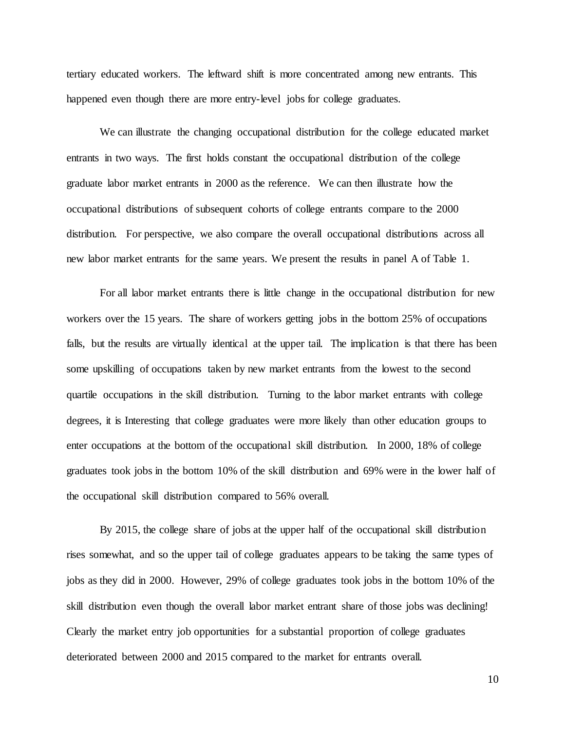tertiary educated workers. The leftward shift is more concentrated among new entrants. This happened even though there are more entry-level jobs for college graduates.

We can illustrate the changing occupational distribution for the college educated market entrants in two ways. The first holds constant the occupational distribution of the college graduate labor market entrants in 2000 as the reference. We can then illustrate how the occupational distributions of subsequent cohorts of college entrants compare to the 2000 distribution. For perspective, we also compare the overall occupational distributions across all new labor market entrants for the same years. We present the results in panel A of Table 1.

For all labor market entrants there is little change in the occupational distribution for new workers over the 15 years. The share of workers getting jobs in the bottom 25% of occupations falls, but the results are virtually identical at the upper tail. The implication is that there has been some upskilling of occupations taken by new market entrants from the lowest to the second quartile occupations in the skill distribution. Turning to the labor market entrants with college degrees, it is Interesting that college graduates were more likely than other education groups to enter occupations at the bottom of the occupational skill distribution. In 2000, 18% of college graduates took jobs in the bottom 10% of the skill distribution and 69% were in the lower half of the occupational skill distribution compared to 56% overall.

By 2015, the college share of jobs at the upper half of the occupational skill distribution rises somewhat, and so the upper tail of college graduates appears to be taking the same types of jobs as they did in 2000. However, 29% of college graduates took jobs in the bottom 10% of the skill distribution even though the overall labor market entrant share of those jobs was declining! Clearly the market entry job opportunities for a substantial proportion of college graduates deteriorated between 2000 and 2015 compared to the market for entrants overall.

10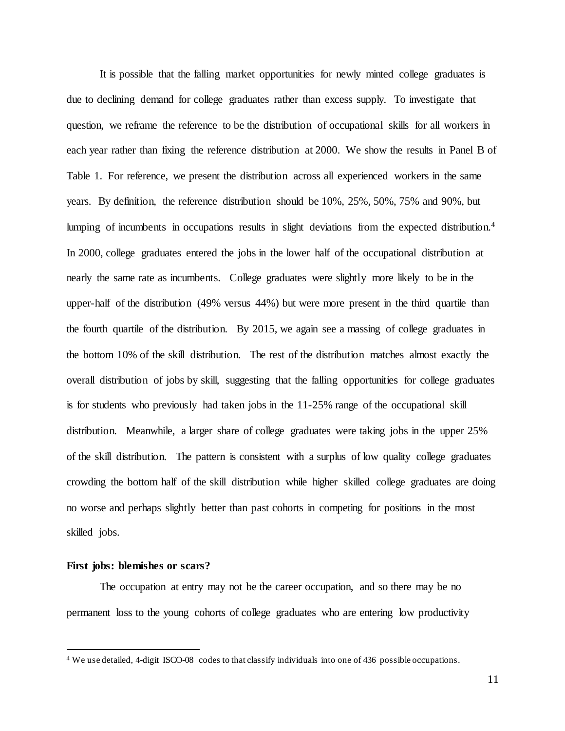It is possible that the falling market opportunities for newly minted college graduates is due to declining demand for college graduates rather than excess supply. To investigate that question, we reframe the reference to be the distribution of occupational skills for all workers in each year rather than fixing the reference distribution at 2000. We show the results in Panel B of Table 1. For reference, we present the distribution across all experienced workers in the same years. By definition, the reference distribution should be 10%, 25%, 50%, 75% and 90%, but lumping of incumbents in occupations results in slight deviations from the expected distribution.<sup>4</sup> In 2000, college graduates entered the jobs in the lower half of the occupational distribution at nearly the same rate as incumbents. College graduates were slightly more likely to be in the upper-half of the distribution (49% versus 44%) but were more present in the third quartile than the fourth quartile of the distribution. By 2015, we again see a massing of college graduates in the bottom 10% of the skill distribution. The rest of the distribution matches almost exactly the overall distribution of jobs by skill, suggesting that the falling opportunities for college graduates is for students who previously had taken jobs in the 11-25% range of the occupational skill distribution. Meanwhile, a larger share of college graduates were taking jobs in the upper 25% of the skill distribution. The pattern is consistent with a surplus of low quality college graduates crowding the bottom half of the skill distribution while higher skilled college graduates are doing no worse and perhaps slightly better than past cohorts in competing for positions in the most skilled jobs.

#### **First jobs: blemishes or scars?**

 $\overline{a}$ 

The occupation at entry may not be the career occupation, and so there may be no permanent loss to the young cohorts of college graduates who are entering low productivity

<sup>4</sup> We use detailed, 4-digit ISCO-08 codes to that classify individuals into one of 436 possible occupations.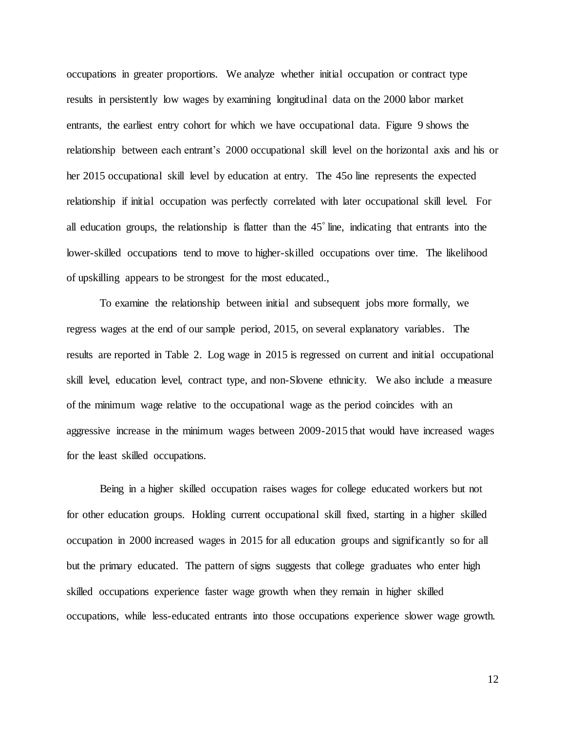occupations in greater proportions. We analyze whether initial occupation or contract type results in persistently low wages by examining longitudinal data on the 2000 labor market entrants, the earliest entry cohort for which we have occupational data. Figure 9 shows the relationship between each entrant's 2000 occupational skill level on the horizontal axis and his or her 2015 occupational skill level by education at entry. The 45o line represents the expected relationship if initial occupation was perfectly correlated with later occupational skill level. For all education groups, the relationship is flatter than the 45° line, indicating that entrants into the lower-skilled occupations tend to move to higher-skilled occupations over time. The likelihood of upskilling appears to be strongest for the most educated.,

To examine the relationship between initial and subsequent jobs more formally, we regress wages at the end of our sample period, 2015, on several explanatory variables. The results are reported in Table 2. Log wage in 2015 is regressed on current and initial occupational skill level, education level, contract type, and non-Slovene ethnicity. We also include a measure of the minimum wage relative to the occupational wage as the period coincides with an aggressive increase in the minimum wages between 2009-2015 that would have increased wages for the least skilled occupations.

Being in a higher skilled occupation raises wages for college educated workers but not for other education groups. Holding current occupational skill fixed, starting in a higher skilled occupation in 2000 increased wages in 2015 for all education groups and significantly so for all but the primary educated. The pattern of signs suggests that college graduates who enter high skilled occupations experience faster wage growth when they remain in higher skilled occupations, while less-educated entrants into those occupations experience slower wage growth.

12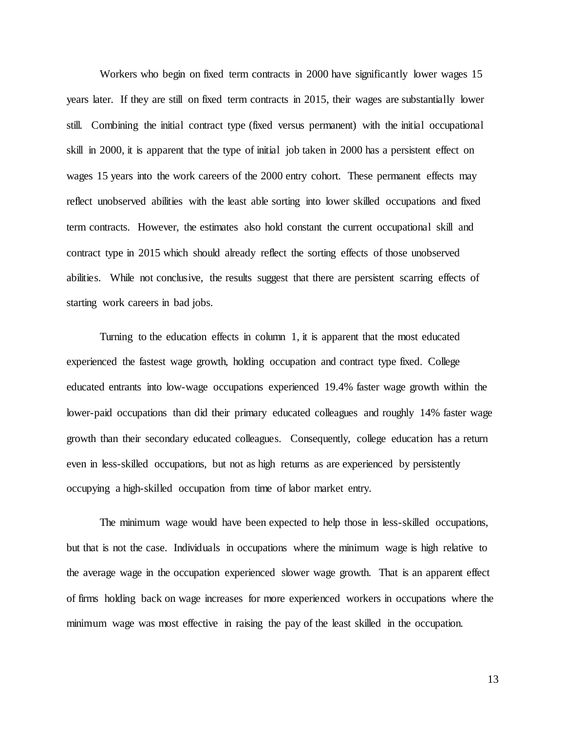Workers who begin on fixed term contracts in 2000 have significantly lower wages 15 years later. If they are still on fixed term contracts in 2015, their wages are substantially lower still. Combining the initial contract type (fixed versus permanent) with the initial occupational skill in 2000, it is apparent that the type of initial job taken in 2000 has a persistent effect on wages 15 years into the work careers of the 2000 entry cohort. These permanent effects may reflect unobserved abilities with the least able sorting into lower skilled occupations and fixed term contracts. However, the estimates also hold constant the current occupational skill and contract type in 2015 which should already reflect the sorting effects of those unobserved abilities. While not conclusive, the results suggest that there are persistent scarring effects of starting work careers in bad jobs.

Turning to the education effects in column 1, it is apparent that the most educated experienced the fastest wage growth, holding occupation and contract type fixed. College educated entrants into low-wage occupations experienced 19.4% faster wage growth within the lower-paid occupations than did their primary educated colleagues and roughly 14% faster wage growth than their secondary educated colleagues. Consequently, college education has a return even in less-skilled occupations, but not as high returns as are experienced by persistently occupying a high-skilled occupation from time of labor market entry.

The minimum wage would have been expected to help those in less-skilled occupations, but that is not the case. Individuals in occupations where the minimum wage is high relative to the average wage in the occupation experienced slower wage growth. That is an apparent effect of firms holding back on wage increases for more experienced workers in occupations where the minimum wage was most effective in raising the pay of the least skilled in the occupation.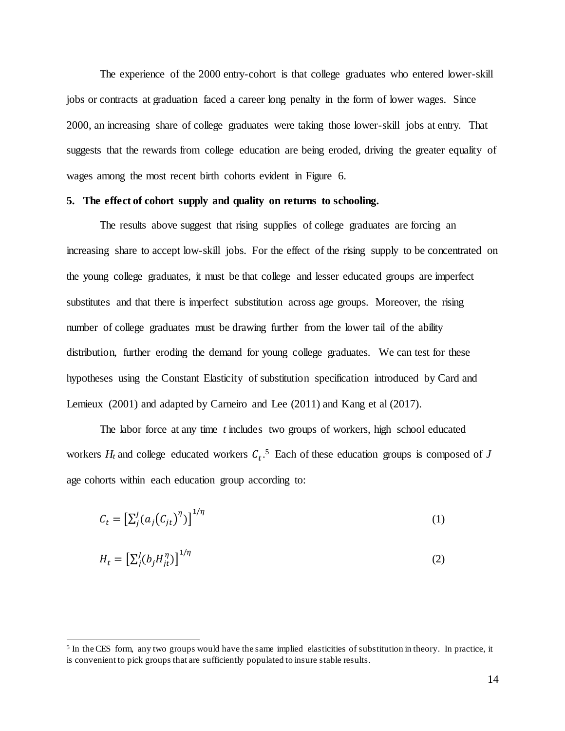The experience of the 2000 entry-cohort is that college graduates who entered lower-skill jobs or contracts at graduation faced a career long penalty in the form of lower wages. Since 2000, an increasing share of college graduates were taking those lower-skill jobs at entry. That suggests that the rewards from college education are being eroded, driving the greater equality of wages among the most recent birth cohorts evident in Figure 6.

#### **5. The effect of cohort supply and quality on returns to schooling.**

The results above suggest that rising supplies of college graduates are forcing an increasing share to accept low-skill jobs. For the effect of the rising supply to be concentrated on the young college graduates, it must be that college and lesser educated groups are imperfect substitutes and that there is imperfect substitution across age groups. Moreover, the rising number of college graduates must be drawing further from the lower tail of the ability distribution, further eroding the demand for young college graduates. We can test for these hypotheses using the Constant Elasticity of substitution specification introduced by Card and Lemieux (2001) and adapted by Carneiro and Lee (2011) and Kang et al (2017).

The labor force at any time *t* includes two groups of workers, high school educated workers  $H_t$  and college educated workers  $C_t$ .<sup>5</sup> Each of these education groups is composed of *J* age cohorts within each education group according to:

$$
C_t = \left[\sum_j^J (a_j(C_{jt})^{\eta})\right]^{1/\eta} \tag{1}
$$

$$
H_t = \left[\sum_j^{J} (b_j H_{jt}^{\eta})\right]^{1/\eta} \tag{2}
$$

 $\overline{a}$ 

<sup>&</sup>lt;sup>5</sup> In the CES form, any two groups would have the same implied elasticities of substitution in theory. In practice, it is convenient to pick groups that are sufficiently populated to insure stable results.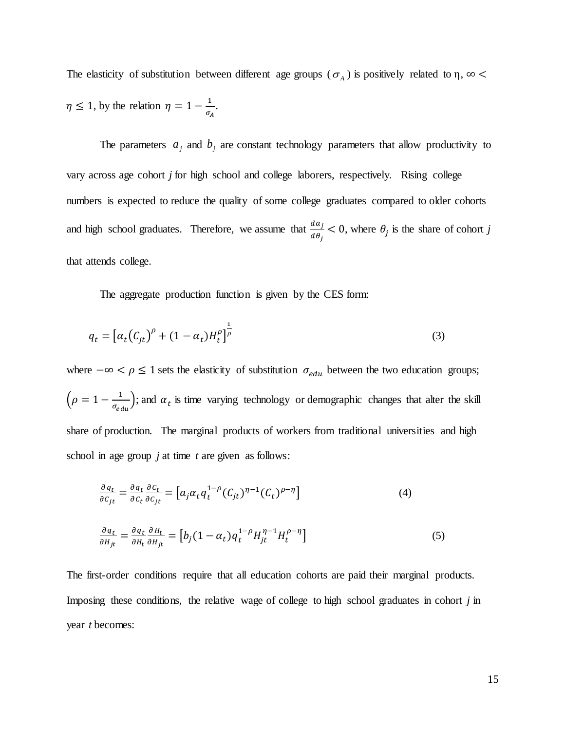The elasticity of substitution between different age groups ( $\sigma_A$ ) is positively related to  $\eta$ ,  $\infty$  $\eta \leq 1$ , by the relation  $\eta = 1 - \frac{1}{\epsilon}$  $\frac{1}{\sigma_A}$ .

The parameters  $a_j$  and  $b_j$  are constant technology parameters that allow productivity to vary across age cohort *j* for high school and college laborers, respectively. Rising college numbers is expected to reduce the quality of some college graduates compared to older cohorts and high school graduates. Therefore, we assume that  $\frac{da_j}{d\theta_j} < 0$ , where  $\theta_j$  is the share of cohort *j* that attends college.

The aggregate production function is given by the CES form:

$$
q_t = \left[ \alpha_t (C_{jt})^{\rho} + (1 - \alpha_t) H_t^{\rho} \right]^{\frac{1}{\rho}}
$$
 (3)

where  $-\infty < \rho \le 1$  sets the elasticity of substitution  $\sigma_{edu}$  between the two education groups;  $\left(\rho = 1 - \frac{1}{\rho}\right)$  $\frac{1}{\sigma_{edu}}$ ); and  $\alpha_t$  is time varying technology or demographic changes that alter the skill share of production. The marginal products of workers from traditional universities and high school in age group *j* at time *t* are given as follows:

$$
\frac{\partial q_t}{\partial c_{jt}} = \frac{\partial q_t}{\partial c_t} \frac{\partial c_t}{\partial c_{jt}} = \left[ a_j \alpha_t q_t^{1-\rho} (C_{jt})^{\eta-1} (C_t)^{\rho-\eta} \right]
$$
(4)  

$$
\frac{\partial q_t}{\partial H_{jt}} = \frac{\partial q_t}{\partial H_t} \frac{\partial H_t}{\partial H_{jt}} = \left[ b_j (1 - \alpha_t) q_t^{1-\rho} H_{jt}^{\eta-1} H_t^{\rho-\eta} \right]
$$
(5)

The first-order conditions require that all education cohorts are paid their marginal products. Imposing these conditions, the relative wage of college to high school graduates in cohort *j* in year *t* becomes: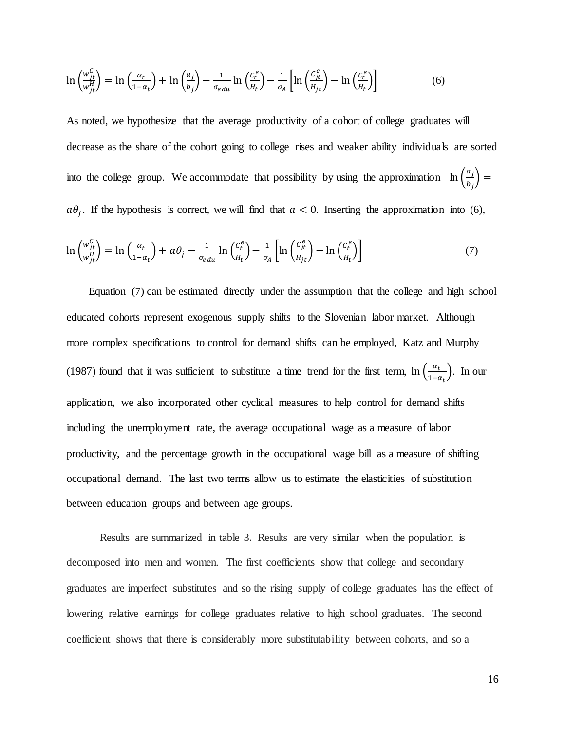$$
\ln\left(\frac{w_{jt}^c}{w_{jt}^H}\right) = \ln\left(\frac{\alpha_t}{1-\alpha_t}\right) + \ln\left(\frac{a_j}{b_j}\right) - \frac{1}{\sigma_{edu}}\ln\left(\frac{c_t^e}{H_t}\right) - \frac{1}{\sigma_A}\left[\ln\left(\frac{c_{jt}^e}{H_{jt}}\right) - \ln\left(\frac{c_t^e}{H_t}\right)\right] \tag{6}
$$

As noted, we hypothesize that the average productivity of a cohort of college graduates will decrease as the share of the cohort going to college rises and weaker ability individuals are sorted into the college group. We accommodate that possibility by using the approximation  $\ln\left(\frac{a_i}{b}\right)$  $\left(\frac{a_j}{b_j}\right)$  =  $a\theta_j$ . If the hypothesis is correct, we will find that  $a < 0$ . Inserting the approximation into (6),

$$
\ln\left(\frac{w_{jt}^c}{w_{jt}^H}\right) = \ln\left(\frac{\alpha_t}{1-\alpha_t}\right) + a\theta_j - \frac{1}{\sigma_{edu}}\ln\left(\frac{c_t^e}{H_t}\right) - \frac{1}{\sigma_A}\left[\ln\left(\frac{c_{jt}^e}{H_{jt}}\right) - \ln\left(\frac{c_t^e}{H_t}\right)\right] \tag{7}
$$

Equation (7) can be estimated directly under the assumption that the college and high school educated cohorts represent exogenous supply shifts to the Slovenian labor market. Although more complex specifications to control for demand shifts can be employed, Katz and Murphy (1987) found that it was sufficient to substitute a time trend for the first term,  $\ln \left( \frac{\alpha_t}{\alpha_t} \right)$  $\frac{a_t}{1-\alpha_t}$ ). In our application, we also incorporated other cyclical measures to help control for demand shifts including the unemployment rate, the average occupational wage as a measure of labor productivity, and the percentage growth in the occupational wage bill as a measure of shifting occupational demand. The last two terms allow us to estimate the elasticities of substitution between education groups and between age groups.

Results are summarized in table 3. Results are very similar when the population is decomposed into men and women. The first coefficients show that college and secondary graduates are imperfect substitutes and so the rising supply of college graduates has the effect of lowering relative earnings for college graduates relative to high school graduates. The second coefficient shows that there is considerably more substitutability between cohorts, and so a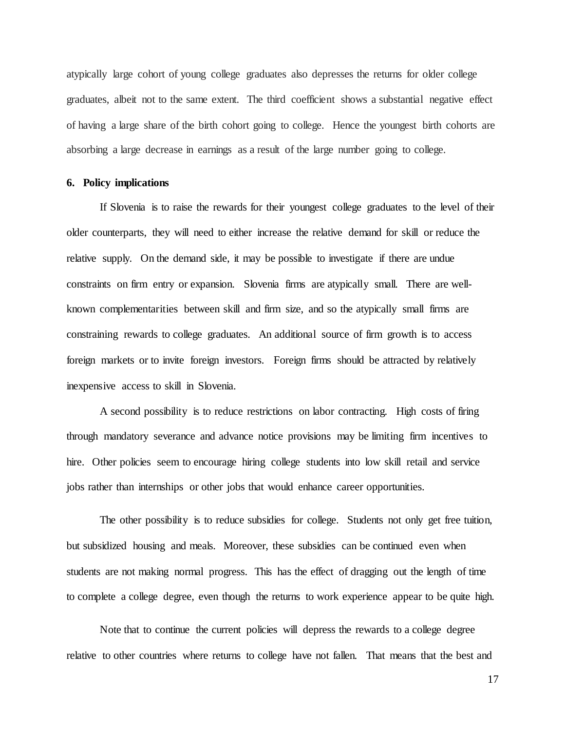atypically large cohort of young college graduates also depresses the returns for older college graduates, albeit not to the same extent. The third coefficient shows a substantial negative effect of having a large share of the birth cohort going to college. Hence the youngest birth cohorts are absorbing a large decrease in earnings as a result of the large number going to college.

#### **6. Policy implications**

If Slovenia is to raise the rewards for their youngest college graduates to the level of their older counterparts, they will need to either increase the relative demand for skill or reduce the relative supply. On the demand side, it may be possible to investigate if there are undue constraints on firm entry or expansion. Slovenia firms are atypically small. There are wellknown complementarities between skill and firm size, and so the atypically small firms are constraining rewards to college graduates. An additional source of firm growth is to access foreign markets or to invite foreign investors. Foreign firms should be attracted by relatively inexpensive access to skill in Slovenia.

A second possibility is to reduce restrictions on labor contracting. High costs of firing through mandatory severance and advance notice provisions may be limiting firm incentives to hire. Other policies seem to encourage hiring college students into low skill retail and service jobs rather than internships or other jobs that would enhance career opportunities.

The other possibility is to reduce subsidies for college. Students not only get free tuition, but subsidized housing and meals. Moreover, these subsidies can be continued even when students are not making normal progress. This has the effect of dragging out the length of time to complete a college degree, even though the returns to work experience appear to be quite high.

Note that to continue the current policies will depress the rewards to a college degree relative to other countries where returns to college have not fallen. That means that the best and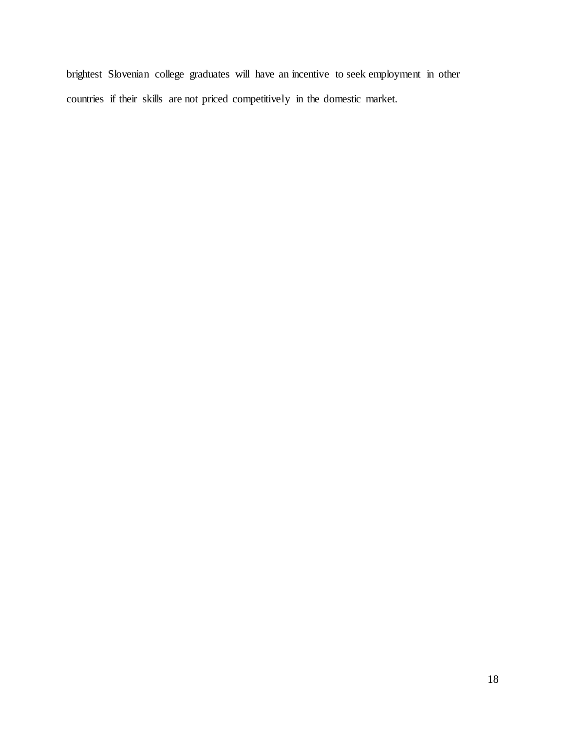brightest Slovenian college graduates will have an incentive to seek employment in other countries if their skills are not priced competitively in the domestic market.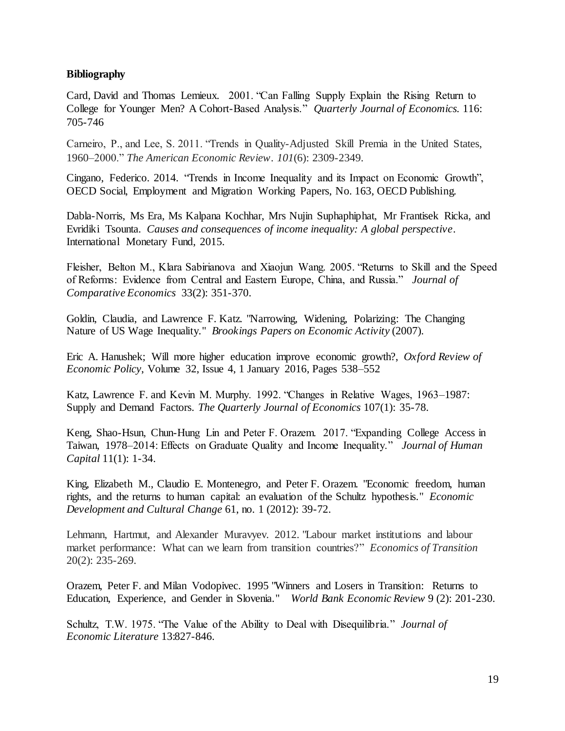### **Bibliography**

Card, David and Thomas Lemieux. 2001. "Can Falling Supply Explain the Rising Return to College for Younger Men? A Cohort-Based Analysis." *Quarterly Journal of Economics.* 116: 705-746

Carneiro, P., and Lee, S. 2011. "Trends in Quality-Adjusted Skill Premia in the United States, 1960–2000." *The American Economic Review*. *101*(6): 2309-2349.

Cingano, Federico. 2014. "Trends in Income Inequality and its Impact on Economic Growth", OECD Social, Employment and Migration Working Papers, No. 163, OECD Publishing.

Dabla-Norris, Ms Era, Ms Kalpana Kochhar, Mrs Nujin Suphaphiphat, Mr Frantisek Ricka, and Evridiki Tsounta. *Causes and consequences of income inequality: A global perspective*. International Monetary Fund, 2015.

Fleisher, Belton M., Klara Sabirianova and Xiaojun Wang. 2005. "Returns to Skill and the Speed of Reforms: Evidence from Central and Eastern Europe, China, and Russia." *Journal of Comparative Economics* 33(2): 351-370.

Goldin, Claudia, and Lawrence F. Katz. "Narrowing, Widening, Polarizing: The Changing Nature of US Wage Inequality." *Brookings Papers on Economic Activity* (2007).

Eric A. Hanushek; Will more higher education improve economic growth?, *Oxford Review of Economic Policy*, Volume 32, Issue 4, 1 January 2016, Pages 538–552

Katz, Lawrence F. and Kevin M. Murphy. 1992. "Changes in Relative Wages, 1963–1987: Supply and Demand Factors. *The Quarterly Journal of Economics* 107(1): 35-78.

Keng, Shao-Hsun, Chun-Hung Lin and Peter F. Orazem. 2017. "Expanding College Access in Taiwan, 1978–2014: Effects on Graduate Quality and Income Inequality." *Journal of Human Capital* 11(1): 1-34.

King, Elizabeth M., Claudio E. Montenegro, and Peter F. Orazem. "Economic freedom, human rights, and the returns to human capital: an evaluation of the Schultz hypothesis." *Economic Development and Cultural Change* 61, no. 1 (2012): 39-72.

Lehmann, Hartmut, and Alexander Muravyev. 2012. "Labour market institutions and labour market performance: What can we learn from transition countries?" *Economics of Transition* 20(2): 235-269.

Orazem, Peter F. and Milan Vodopivec. 1995 "Winners and Losers in Transition: Returns to Education, Experience, and Gender in Slovenia." *World Bank Economic Review* 9 (2): 201-230.

Schultz, T.W. 1975. "The Value of the Ability to Deal with Disequilibria." *Journal of Economic Literature* 13:827-846.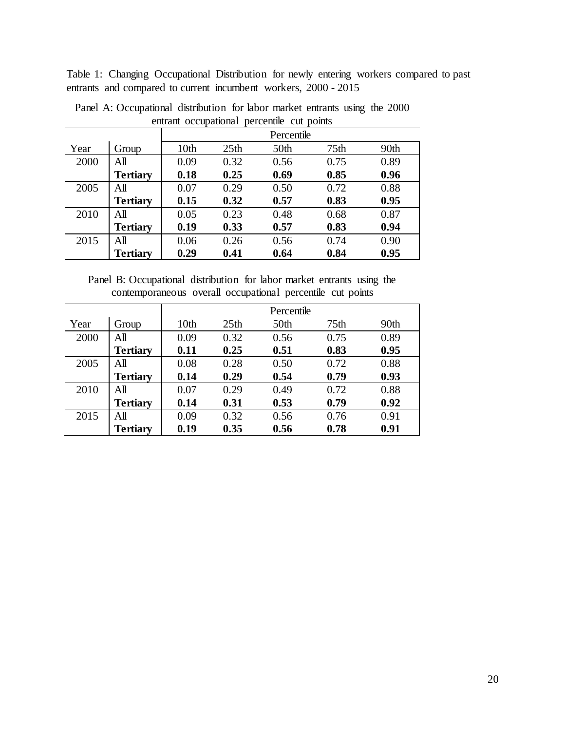Table 1: Changing Occupational Distribution for newly entering workers compared to past entrants and compared to current incumbent workers, 2000 - 2015

| entant occupational percentie cui politis |                 |                  |                  |                  |                  |      |  |  |  |  |
|-------------------------------------------|-----------------|------------------|------------------|------------------|------------------|------|--|--|--|--|
|                                           |                 |                  | Percentile       |                  |                  |      |  |  |  |  |
| Year                                      | Group           | 10 <sub>th</sub> | 25 <sup>th</sup> | 50 <sub>th</sub> | 75 <sub>th</sub> | 90th |  |  |  |  |
| 2000                                      | All             | 0.09             | 0.32             | 0.56             | 0.75             | 0.89 |  |  |  |  |
|                                           | <b>Tertiary</b> | 0.18             | 0.25             | 0.69             | 0.85             | 0.96 |  |  |  |  |
| 2005                                      | All             | 0.07             | 0.29             | 0.50             | 0.72             | 0.88 |  |  |  |  |
|                                           | <b>Tertiary</b> | 0.15             | 0.32             | 0.57             | 0.83             | 0.95 |  |  |  |  |
| 2010                                      | All             | 0.05             | 0.23             | 0.48             | 0.68             | 0.87 |  |  |  |  |
|                                           | <b>Tertiary</b> | 0.19             | 0.33             | 0.57             | 0.83             | 0.94 |  |  |  |  |
| 2015                                      | All             | 0.06             | 0.26             | 0.56             | 0.74             | 0.90 |  |  |  |  |
|                                           | <b>Tertiary</b> | 0.29             | 0.41             | 0.64             | 0.84             | 0.95 |  |  |  |  |

Panel A: Occupational distribution for labor market entrants using the 2000 entrant occupational percentile cut points

Panel B: Occupational distribution for labor market entrants using the contemporaneous overall occupational percentile cut points

|      |                 | Percentile |                  |      |                  |      |  |  |
|------|-----------------|------------|------------------|------|------------------|------|--|--|
| Year | Group           | 10th       | 25 <sub>th</sub> | 50th | 75 <sub>th</sub> | 90th |  |  |
| 2000 | All             | 0.09       | 0.32             | 0.56 | 0.75             | 0.89 |  |  |
|      | <b>Tertiary</b> | 0.11       | 0.25             | 0.51 | 0.83             | 0.95 |  |  |
| 2005 | All             | 0.08       | 0.28             | 0.50 | 0.72             | 0.88 |  |  |
|      | <b>Tertiary</b> | 0.14       | 0.29             | 0.54 | 0.79             | 0.93 |  |  |
| 2010 | All             | 0.07       | 0.29             | 0.49 | 0.72             | 0.88 |  |  |
|      | <b>Tertiary</b> | 0.14       | 0.31             | 0.53 | 0.79             | 0.92 |  |  |
| 2015 | All             | 0.09       | 0.32             | 0.56 | 0.76             | 0.91 |  |  |
|      | Tertiary        | 0.19       | 0.35             | 0.56 | 0.78             | 0.91 |  |  |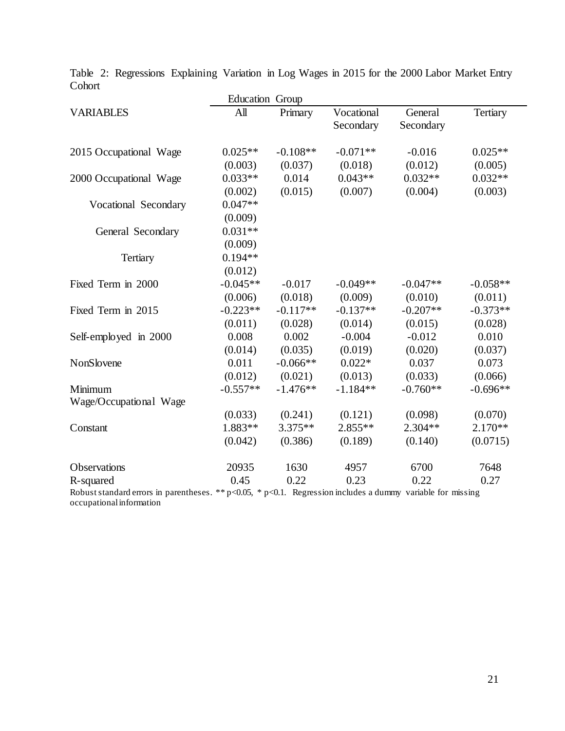|                                                                                                           | <b>Education Group</b> |            |                         |                      |                 |
|-----------------------------------------------------------------------------------------------------------|------------------------|------------|-------------------------|----------------------|-----------------|
| <b>VARIABLES</b>                                                                                          | A <sub>II</sub>        | Primary    | Vocational<br>Secondary | General<br>Secondary | <b>Tertiary</b> |
| 2015 Occupational Wage                                                                                    | $0.025**$              | $-0.108**$ | $-0.071**$              | $-0.016$             | $0.025**$       |
|                                                                                                           | (0.003)                | (0.037)    | (0.018)                 | (0.012)              | (0.005)         |
| 2000 Occupational Wage                                                                                    | $0.033**$              | 0.014      | $0.043**$               | $0.032**$            | $0.032**$       |
|                                                                                                           | (0.002)                | (0.015)    | (0.007)                 | (0.004)              | (0.003)         |
| Vocational Secondary                                                                                      | $0.047**$              |            |                         |                      |                 |
|                                                                                                           | (0.009)                |            |                         |                      |                 |
| General Secondary                                                                                         | $0.031**$              |            |                         |                      |                 |
|                                                                                                           | (0.009)                |            |                         |                      |                 |
| Tertiary                                                                                                  | $0.194**$              |            |                         |                      |                 |
|                                                                                                           | (0.012)                |            |                         |                      |                 |
| Fixed Term in 2000                                                                                        | $-0.045**$             | $-0.017$   | $-0.049**$              | $-0.047**$           | $-0.058**$      |
|                                                                                                           | (0.006)                | (0.018)    | (0.009)                 | (0.010)              | (0.011)         |
| Fixed Term in 2015                                                                                        | $-0.223**$             | $-0.117**$ | $-0.137**$              | $-0.207**$           | $-0.373**$      |
|                                                                                                           | (0.011)                | (0.028)    | (0.014)                 | (0.015)              | (0.028)         |
| Self-employed in 2000                                                                                     | 0.008                  | 0.002      | $-0.004$                | $-0.012$             | 0.010           |
|                                                                                                           | (0.014)                | (0.035)    | (0.019)                 | (0.020)              | (0.037)         |
| NonSlovene                                                                                                | 0.011                  | $-0.066**$ | $0.022*$                | 0.037                | 0.073           |
|                                                                                                           | (0.012)                | (0.021)    | (0.013)                 | (0.033)              | (0.066)         |
| Minimum                                                                                                   | $-0.557**$             | $-1.476**$ | $-1.184**$              | $-0.760**$           | $-0.696**$      |
| Wage/Occupational Wage                                                                                    |                        |            |                         |                      |                 |
|                                                                                                           | (0.033)                | (0.241)    | (0.121)                 | (0.098)              | (0.070)         |
| Constant                                                                                                  | $1.883**$              | $3.375**$  | $2.855**$               | $2.304**$            | $2.170**$       |
|                                                                                                           | (0.042)                | (0.386)    | (0.189)                 | (0.140)              | (0.0715)        |
| <b>Observations</b>                                                                                       | 20935                  | 1630       | 4957                    | 6700                 | 7648            |
| R-squared                                                                                                 | 0.45                   | 0.22       | 0.23                    | 0.22                 | 0.27            |
| Robust standard errors in parentheses, **p<0.05, *p<0.1. Regression includes a dummy variable for missing |                        |            |                         |                      |                 |

Table 2: Regressions Explaining Variation in Log Wages in 2015 for the 2000 Labor Market Entry Cohort

 $p<0.05$ , \*  $p<0.1$ . Regression includes a dummy variable for missing occupational information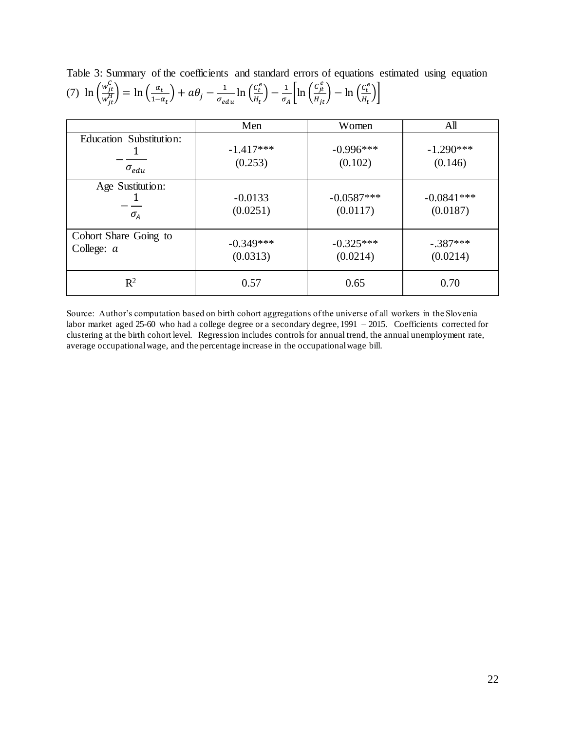|                         | Men         | Women        | All          |
|-------------------------|-------------|--------------|--------------|
| Education Substitution: | $-1.417***$ | $-0.996***$  | $-1.290***$  |
| $\sigma_{edu}$          | (0.253)     | (0.102)      | (0.146)      |
| Age Sustitution:        | $-0.0133$   | $-0.0587***$ | $-0.0841***$ |
| $\sigma_A$              | (0.0251)    | (0.0117)     | (0.0187)     |
| Cohort Share Going to   | $-0.349***$ | $-0.325***$  | $-.387***$   |
| College: $a$            | (0.0313)    | (0.0214)     | (0.0214)     |
| $\mathbb{R}^2$          | 0.57        | 0.65         | 0.70         |

Table 3: Summary of the coefficients and standard errors of equations estimated using equation (7)  $\ln \left( \frac{w_{jt}^C}{w_{j}^H} \right)$  $\left(\frac{w_{jt}^{\alpha}}{w_{jt}^{H}}\right) = \ln\left(\frac{\alpha_t}{1-\alpha}\right)$  $\left(\frac{\alpha_t}{1-\alpha_t}\right) + a\theta_j - \frac{1}{\sigma_{ee}}$  $\frac{1}{\sigma_{edu}}\ln\left(\frac{c_t^e}{H_t}\right)$  $\left(\frac{c_t^e}{H_t}\right) - \frac{1}{\sigma_A}$  $\frac{1}{\sigma_A} \left[ \ln \left( \frac{c_{jt}^e}{H_{jt}} \right) - \ln \left( \frac{c_t^e}{H_t} \right) \right]$  $\frac{c_t}{H_t}$ )

Source: Author's computation based on birth cohort aggregations of the universe of all workers in the Slovenia labor market aged 25-60 who had a college degree or a secondary degree, 1991 – 2015. Coefficients corrected for clustering at the birth cohort level. Regression includes controls for annual trend, the annual unemployment rate, average occupational wage, and the percentage increase in the occupational wage bill.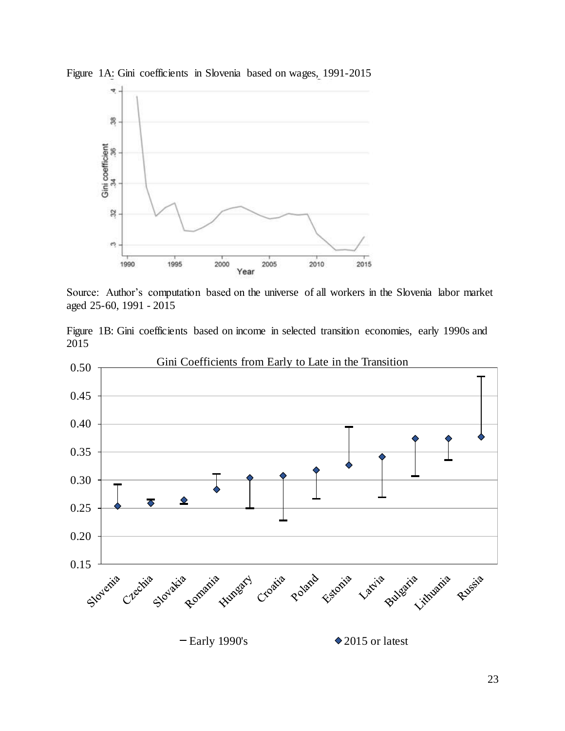

Figure 1A: Gini coefficients in Slovenia based on wages, 1991-2015

Source: Author's computation based on the universe of all workers in the Slovenia labor market aged 25-60, 1991 - 2015

Figure 1B: Gini coefficients based on income in selected transition economies, early 1990s and 2015

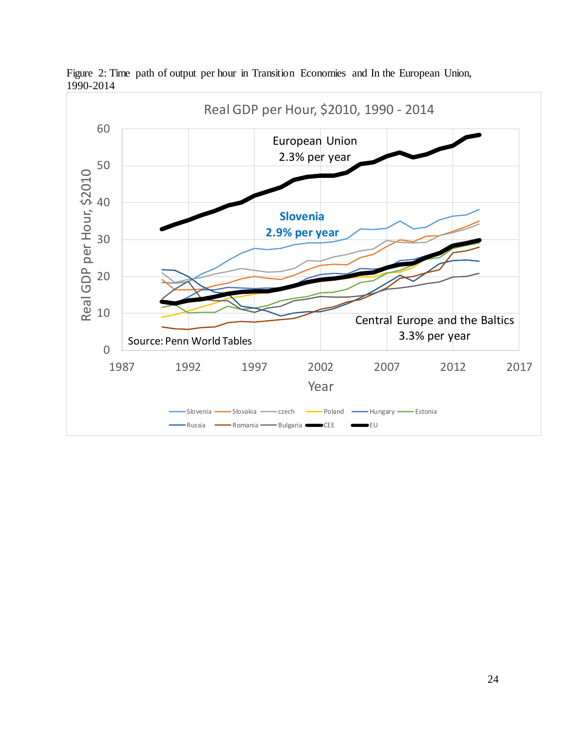

Figure 2: Time path of output per hour in Transition Economies and In the European Union, 1990-2014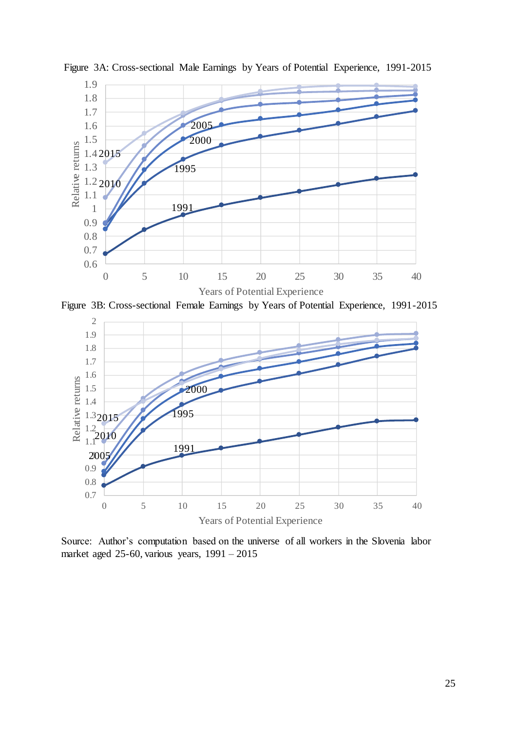

Figure 3A: Cross-sectional Male Earnings by Years of Potential Experience, 1991-2015

Figure 3B: Cross-sectional Female Earnings by Years of Potential Experience, 1991-2015



Source: Author's computation based on the universe of all workers in the Slovenia labor market aged 25-60, various years, 1991 – 2015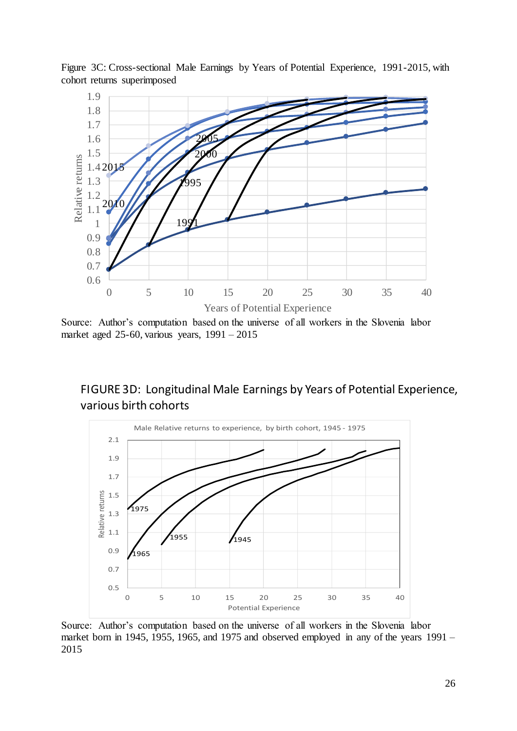

Figure 3C: Cross-sectional Male Earnings by Years of Potential Experience, 1991-2015, with cohort returns superimposed

Source: Author's computation based on the universe of all workers in the Slovenia labor market aged 25-60, various years, 1991 – 2015

# FIGURE 3D: Longitudinal Male Earnings by Years of Potential Experience, various birth cohorts



Source: Author's computation based on the universe of all workers in the Slovenia labor market born in 1945, 1955, 1965, and 1975 and observed employed in any of the years 1991 – 2015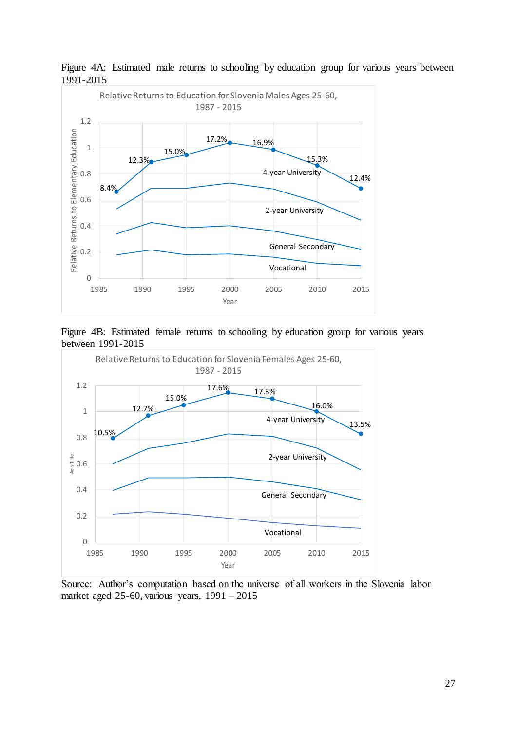

Figure 4A: Estimated male returns to schooling by education group for various years between 1991-2015





Source: Author's computation based on the universe of all workers in the Slovenia labor market aged 25-60, various years, 1991 – 2015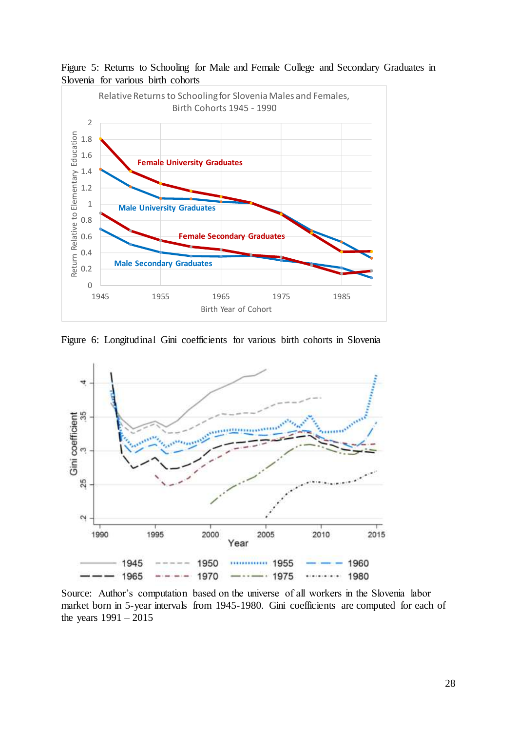



Figure 6: Longitudinal Gini coefficients for various birth cohorts in Slovenia



Source: Author's computation based on the universe of all workers in the Slovenia labor market born in 5-year intervals from 1945-1980. Gini coefficients are computed for each of the years 1991 – 2015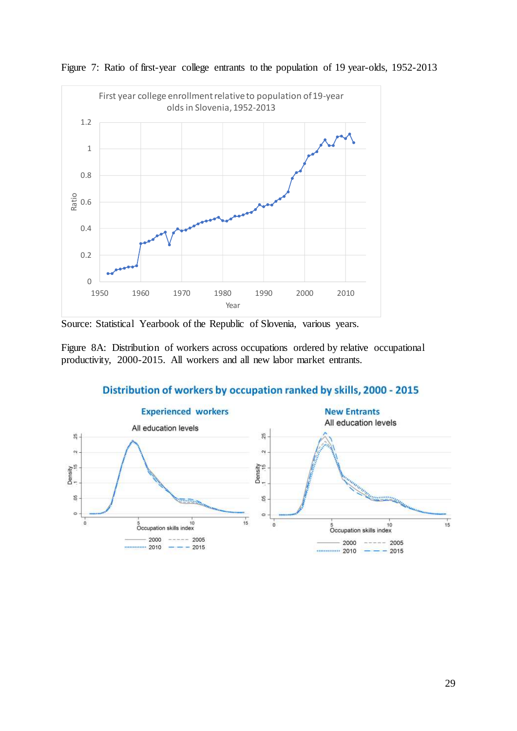

Figure 7: Ratio of first-year college entrants to the population of 19 year-olds, 1952-2013

Source: Statistical Yearbook of the Republic of Slovenia, various years.

Figure 8A: Distribution of workers across occupations ordered by relative occupational productivity, 2000-2015. All workers and all new labor market entrants.



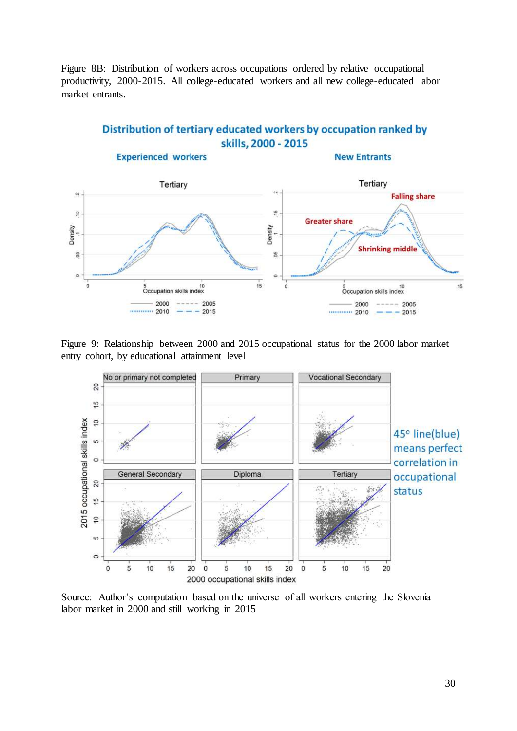Figure 8B: Distribution of workers across occupations ordered by relative occupational productivity, 2000-2015. All college-educated workers and all new college-educated labor market entrants.

## Distribution of tertiary educated workers by occupation ranked by skills, 2000 - 2015



Figure 9: Relationship between 2000 and 2015 occupational status for the 2000 labor market entry cohort, by educational attainment level



Source: Author's computation based on the universe of all workers entering the Slovenia labor market in 2000 and still working in 2015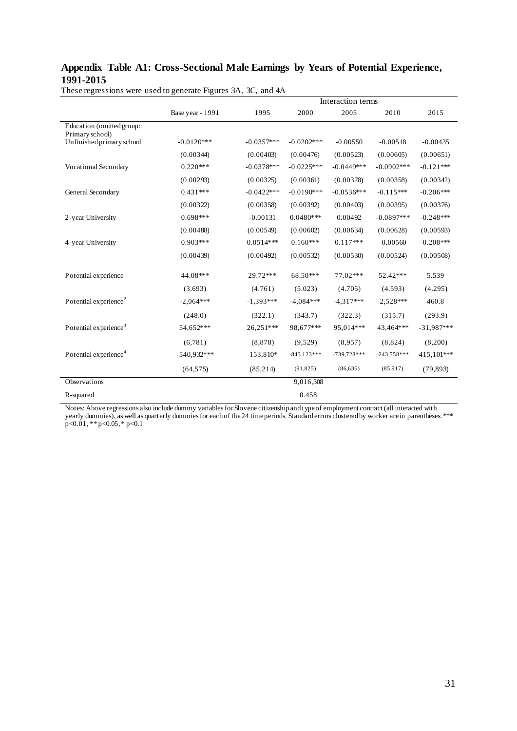## **Appendix Table A1: Cross-Sectional Male Earnings by Years of Potential Experience, 1991-2015**

|                                              |                  |              |               | Interaction terms |               |              |
|----------------------------------------------|------------------|--------------|---------------|-------------------|---------------|--------------|
|                                              | Base year - 1991 | 1995         | 2000          | 2005              | 2010          | 2015         |
| Education (omitted group:<br>Primary school) |                  |              |               |                   |               |              |
| Unfinished primary school                    | $-0.0120***$     | $-0.0357***$ | $-0.0202***$  | $-0.00550$        | $-0.00518$    | $-0.00435$   |
|                                              | (0.00344)        | (0.00403)    | (0.00476)     | (0.00523)         | (0.00605)     | (0.00651)    |
| Vocational Secondary                         | $0.220***$       | $-0.0378***$ | $-0.0225***$  | $-0.0449***$      | $-0.0902***$  | $-0.121***$  |
|                                              | (0.00293)        | (0.00325)    | (0.00361)     | (0.00378)         | (0.00358)     | (0.00342)    |
| General Secondary                            | $0.431***$       | $-0.0422***$ | $-0.0190***$  | $-0.0536***$      | $-0.115***$   | $-0.206***$  |
|                                              | (0.00322)        | (0.00358)    | (0.00392)     | (0.00403)         | (0.00395)     | (0.00376)    |
| 2-year University                            | $0.698***$       | $-0.00131$   | $0.0480***$   | 0.00492           | $-0.0897***$  | $-0.248***$  |
|                                              | (0.00488)        | (0.00549)    | (0.00602)     | (0.00634)         | (0.00628)     | (0.00593)    |
| 4-year University                            | $0.903***$       | $0.0514***$  | $0.160***$    | $0.117***$        | $-0.00560$    | $-0.208***$  |
|                                              | (0.00439)        | (0.00492)    | (0.00532)     | (0.00530)         | (0.00524)     | (0.00508)    |
| Potential experience                         | 44.08***         | 29.72***     | 68.50***      | 77.02***          | 52.42***      | 5.539        |
|                                              | (3.693)          | (4.761)      | (5.023)       | (4.705)           | (4.593)       | (4.295)      |
| Potential experience <sup>2</sup>            | $-2,064***$      | $-1,393***$  | $-4,084***$   | $-4,317***$       | $-2,528***$   | 460.8        |
|                                              | (248.0)          | (322.1)      | (343.7)       | (322.3)           | (315.7)       | (293.9)      |
| Potential experience <sup>3</sup>            | 54,652***        | 26,251***    | 98,677***     | 95,014***         | 43,464***     | $-31,987***$ |
|                                              | (6,781)          | (8, 878)     | (9,529)       | (8.957)           | (8,824)       | (8,200)      |
| Potential experience <sup>4</sup>            | $-540.932***$    | $-153,810*$  | $-843,123***$ | $-739,728***$     | $-243,558***$ | 415,101***   |
|                                              | (64, 575)        | (85, 214)    | (91, 825)     | (86, 636)         | (85,917)      | (79, 893)    |
| Observations                                 |                  |              | 9,016,308     |                   |               |              |
| R-squared                                    |                  |              | 0.458         |                   |               |              |

These regressions were used to generate Figures 3A, 3C, and 4A

Notes: Above regressions also include dummy variables for Slovene citizenship and type of employment contract (all interacted with yearly dummies), as well as quarterly dummies for each of the 24 time periods. Standard errors clustered by worker are in parentheses. \*\*\* p<0.01, \*\* p<0.05, \* p<0.1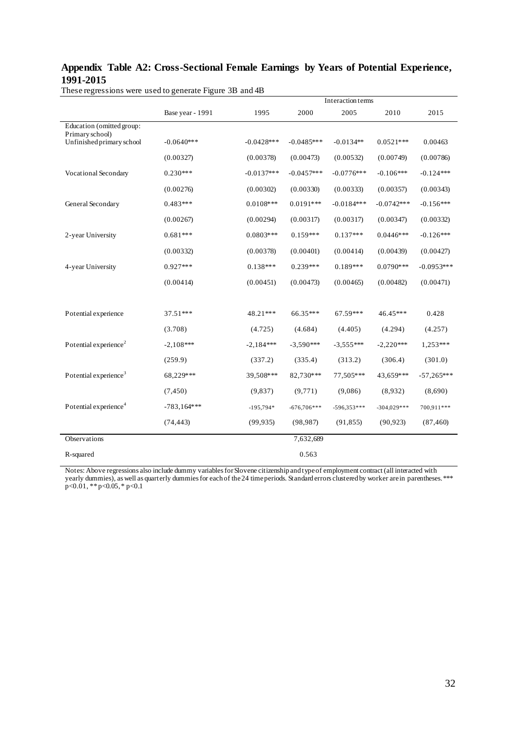## **Appendix Table A2: Cross-Sectional Female Earnings by Years of Potential Experience, 1991-2015**

|                                              |                  |              |               | <b>Interaction terms</b> |               |              |
|----------------------------------------------|------------------|--------------|---------------|--------------------------|---------------|--------------|
|                                              | Base year - 1991 | 1995         | 2000          | 2005                     | 2010          | 2015         |
| Education (omitted group:<br>Primary school) |                  |              |               |                          |               |              |
| Unfinished primary school                    | $-0.0640***$     | $-0.0428***$ | $-0.0485***$  | $-0.0134**$              | $0.0521***$   | 0.00463      |
|                                              | (0.00327)        | (0.00378)    | (0.00473)     | (0.00532)                | (0.00749)     | (0.00786)    |
| Vocational Secondary                         | $0.230***$       | $-0.0137***$ | $-0.0457***$  | $-0.0776***$             | $-0.106***$   | $-0.124***$  |
|                                              | (0.00276)        | (0.00302)    | (0.00330)     | (0.00333)                | (0.00357)     | (0.00343)    |
| General Secondary                            | $0.483***$       | $0.0108***$  | $0.0191***$   | $-0.0184***$             | $-0.0742***$  | $-0.156***$  |
|                                              | (0.00267)        | (0.00294)    | (0.00317)     | (0.00317)                | (0.00347)     | (0.00332)    |
| 2-year University                            | $0.681***$       | $0.0803***$  | $0.159***$    | $0.137***$               | $0.0446$ ***  | $-0.126***$  |
|                                              | (0.00332)        | (0.00378)    | (0.00401)     | (0.00414)                | (0.00439)     | (0.00427)    |
| 4-year University                            | $0.927***$       | $0.138***$   | $0.239***$    | $0.189***$               | $0.0790***$   | $-0.0953***$ |
|                                              | (0.00414)        | (0.00451)    | (0.00473)     | (0.00465)                | (0.00482)     | (0.00471)    |
|                                              |                  |              |               |                          |               |              |
| Potential experience                         | 37.51***         | 48.21***     | 66.35***      | 67.59***                 | 46.45***      | 0.428        |
|                                              | (3.708)          | (4.725)      | (4.684)       | (4.405)                  | (4.294)       | (4.257)      |
| Potential experience <sup>2</sup>            | $-2,108***$      | $-2,184***$  | $-3,590***$   | $-3,555***$              | $-2,220***$   | 1,253***     |
|                                              | (259.9)          | (337.2)      | (335.4)       | (313.2)                  | (306.4)       | (301.0)      |
| Potential experience <sup>3</sup>            | 68,229***        | 39,508***    | 82,730***     | 77,505***                | 43,659***     | $-57,265***$ |
|                                              | (7, 450)         | (9,837)      | (9, 771)      | (9,086)                  | (8,932)       | (8,690)      |
| Potential experience <sup>4</sup>            | $-783,164***$    | $-195,794*$  | $-676,706***$ | $-596,353***$            | $-304,029***$ | 700,911***   |
|                                              | (74, 443)        | (99, 935)    | (98, 987)     | (91, 855)                | (90, 923)     | (87, 460)    |
| Observations                                 |                  |              | 7,632,689     |                          |               |              |
| R-squared                                    |                  |              | 0.563         |                          |               |              |

These regressions were used to generate Figure 3B and 4B

Notes: Above regressions also include dummy variables for Slovene citizenship and type of employment contract (all interacted with yearly dummies), as well as quarterly dummies for each of the 24 time periods. Standard errors clustered by worker are in parentheses. \*\*\* p<0.01, \*\* p<0.05, \* p<0.1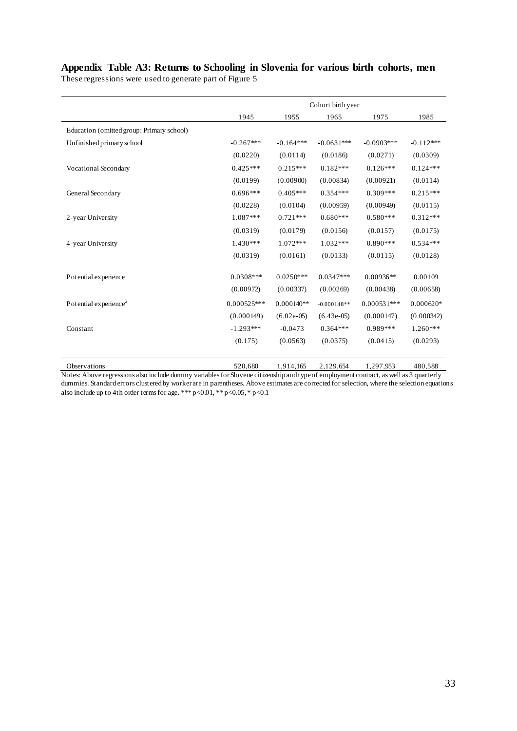# **Appendix Table A3: Returns to Schooling in Slovenia for various birth cohorts, men**

These regressions were used to generate part of Figure 5

|                                           | Cohort birth year |              |               |               |             |  |  |
|-------------------------------------------|-------------------|--------------|---------------|---------------|-------------|--|--|
|                                           | 1945              | 1955         | 1965          | 1975          | 1985        |  |  |
| Education (omitted group: Primary school) |                   |              |               |               |             |  |  |
| Unfinished primary school                 | $-0.267***$       | $-0.164***$  | $-0.0631***$  | $-0.0903***$  | $-0.112***$ |  |  |
|                                           | (0.0220)          | (0.0114)     | (0.0186)      | (0.0271)      | (0.0309)    |  |  |
| Vocational Secondary                      | $0.425***$        | $0.215***$   | $0.182***$    | $0.126***$    | $0.124***$  |  |  |
|                                           | (0.0199)          | (0.00900)    | (0.00834)     | (0.00921)     | (0.0114)    |  |  |
| General Secondary                         | $0.696***$        | $0.405***$   | $0.354***$    | $0.309***$    | $0.215***$  |  |  |
|                                           | (0.0228)          | (0.0104)     | (0.00959)     | (0.00949)     | (0.0115)    |  |  |
| 2-year University                         | 1.087***          | $0.721***$   | $0.680***$    | $0.580***$    | $0.312***$  |  |  |
|                                           | (0.0319)          | (0.0179)     | (0.0156)      | (0.0157)      | (0.0175)    |  |  |
| 4-year University                         | $1.430***$        | $1.072***$   | $1.032***$    | $0.890***$    | $0.534***$  |  |  |
|                                           | (0.0319)          | (0.0161)     | (0.0133)      | (0.0115)      | (0.0128)    |  |  |
| Potential experience                      | $0.0308$ ***      | $0.0250***$  | $0.0347***$   | $0.00936**$   | 0.00109     |  |  |
|                                           | (0.00972)         | (0.00337)    | (0.00269)     | (0.00438)     | (0.00658)   |  |  |
| Potential experience <sup>2</sup>         | $0.000525***$     | $0.000140**$ | $-0.000148**$ | $0.000531***$ | $0.000620*$ |  |  |
|                                           | (0.000149)        | $(6.02e-05)$ | $(6.43e-05)$  | (0.000147)    | (0.000342)  |  |  |
| Constant                                  | $-1.293***$       | $-0.0473$    | $0.364***$    | 0.989***      | $1.260***$  |  |  |
|                                           | (0.175)           | (0.0563)     | (0.0375)      | (0.0415)      | (0.0293)    |  |  |
|                                           |                   |              |               |               |             |  |  |
| Observations                              | 520,680           | 1,914,165    | 2,129,654     | 1,297,953     | 480,588     |  |  |

Notes: Above regressions also include dummy variables for Slovene citizenship and type of employment contract, as well as 3 quarterly dummies. Standard errors clustered by worker are in parentheses. Above estimates are corrected for selection, where the selection equations also include up to 4th order terms for age. \*\*\* p<0.01, \*\* p<0.05, \* p<0.1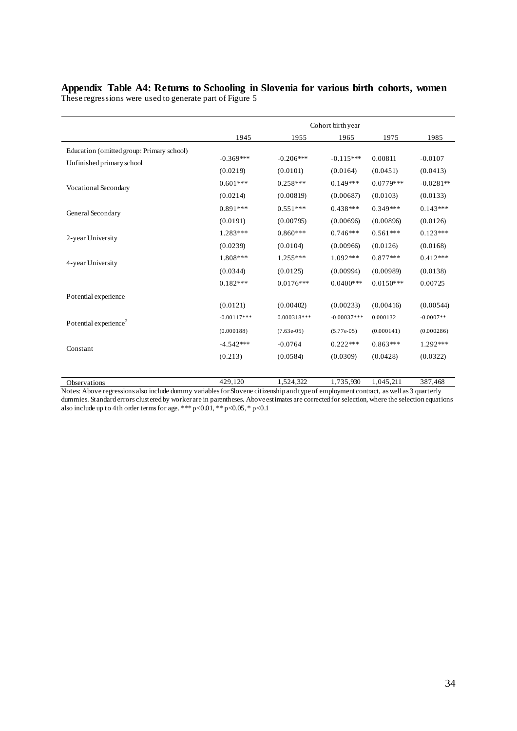#### **Appendix Table A4: Returns to Schooling in Slovenia for various birth cohorts, women** These regressions were used to generate part of Figure 5

|                                                                        | Cohort birth year                                                                                                                                                                                                                                                                                                                                                                                                                                                                                                                                        |             |             |              |             |  |  |
|------------------------------------------------------------------------|----------------------------------------------------------------------------------------------------------------------------------------------------------------------------------------------------------------------------------------------------------------------------------------------------------------------------------------------------------------------------------------------------------------------------------------------------------------------------------------------------------------------------------------------------------|-------------|-------------|--------------|-------------|--|--|
|                                                                        | 1945                                                                                                                                                                                                                                                                                                                                                                                                                                                                                                                                                     | 1955        | 1965        | 1975         | 1985        |  |  |
| Education (omitted group: Primary school)<br>Unfinished primary school | $-0.369***$                                                                                                                                                                                                                                                                                                                                                                                                                                                                                                                                              | $-0.206***$ | $-0.115***$ | 0.00811      | $-0.0107$   |  |  |
|                                                                        |                                                                                                                                                                                                                                                                                                                                                                                                                                                                                                                                                          | (0.0101)    | (0.0164)    | (0.0451)     | (0.0413)    |  |  |
| Vocational Secondary                                                   | $0.601***$                                                                                                                                                                                                                                                                                                                                                                                                                                                                                                                                               | $0.258***$  | $0.149***$  | $0.0779***$  | $-0.0281**$ |  |  |
|                                                                        | (0.0219)<br>(0.0214)<br>(0.00819)<br>(0.00687)<br>$0.891***$<br>$0.551***$<br>$0.438***$<br>(0.0191)<br>(0.00795)<br>(0.00696)<br>$0.860***$<br>1.283***<br>$0.746***$<br>(0.0239)<br>(0.00966)<br>(0.0104)<br>1.808***<br>$1.255***$<br>1.092***<br>(0.0344)<br>(0.0125)<br>(0.00994)<br>$0.182***$<br>$0.0176$ ***<br>$0.0400$ ***<br>(0.0121)<br>(0.00402)<br>(0.00233)<br>$-0.00117***$<br>$0.000318***$<br>$-0.00037***$<br>(0.000188)<br>$(7.63e-05)$<br>$(5.77e-05)$<br>$-4.542***$<br>$-0.0764$<br>$0.222***$<br>(0.213)<br>(0.0584)<br>(0.0309) | (0.0103)    | (0.0133)    |              |             |  |  |
| General Secondary                                                      | 429,120<br>1,524,322<br>1,735,930                                                                                                                                                                                                                                                                                                                                                                                                                                                                                                                        | $0.349***$  | $0.143***$  |              |             |  |  |
|                                                                        |                                                                                                                                                                                                                                                                                                                                                                                                                                                                                                                                                          |             |             | (0.00896)    | (0.0126)    |  |  |
| 2-year University                                                      |                                                                                                                                                                                                                                                                                                                                                                                                                                                                                                                                                          |             |             | $0.561***$   | $0.123***$  |  |  |
|                                                                        |                                                                                                                                                                                                                                                                                                                                                                                                                                                                                                                                                          |             |             | (0.0126)     | (0.0168)    |  |  |
| 4-year University                                                      |                                                                                                                                                                                                                                                                                                                                                                                                                                                                                                                                                          |             |             | $0.877***$   | $0.412***$  |  |  |
|                                                                        |                                                                                                                                                                                                                                                                                                                                                                                                                                                                                                                                                          |             |             | (0.00989)    | (0.0138)    |  |  |
|                                                                        |                                                                                                                                                                                                                                                                                                                                                                                                                                                                                                                                                          |             |             | $0.0150$ *** | 0.00725     |  |  |
| Potential experience                                                   |                                                                                                                                                                                                                                                                                                                                                                                                                                                                                                                                                          |             |             |              |             |  |  |
|                                                                        |                                                                                                                                                                                                                                                                                                                                                                                                                                                                                                                                                          |             |             | (0.00416)    | (0.00544)   |  |  |
| Potential experience <sup>2</sup>                                      |                                                                                                                                                                                                                                                                                                                                                                                                                                                                                                                                                          |             |             | 0.000132     | $-0.0007**$ |  |  |
|                                                                        |                                                                                                                                                                                                                                                                                                                                                                                                                                                                                                                                                          |             |             | (0.000141)   | (0.000286)  |  |  |
| Constant                                                               |                                                                                                                                                                                                                                                                                                                                                                                                                                                                                                                                                          |             |             | $0.863***$   | $1.292***$  |  |  |
|                                                                        |                                                                                                                                                                                                                                                                                                                                                                                                                                                                                                                                                          |             |             | (0.0428)     | (0.0322)    |  |  |
|                                                                        |                                                                                                                                                                                                                                                                                                                                                                                                                                                                                                                                                          |             |             |              |             |  |  |
| Observations                                                           |                                                                                                                                                                                                                                                                                                                                                                                                                                                                                                                                                          |             |             | 1,045,211    | 387,468     |  |  |

Notes: Above regressions also include dummy variables for Slovene citizenship and type of employment contract, as well as 3 quarterly dummies. Standard errors clustered by worker are in parentheses. Above estimates are corrected for selection, where the selection equations also include up to 4th order terms for age. \*\*\* p<0.01, \*\* p<0.05, \* p<0.1